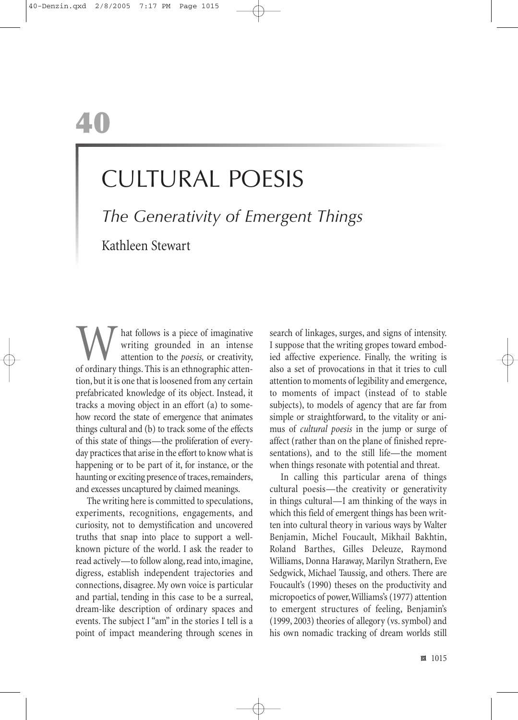# **40**

# CULTURAL POESIS

*The Generativity of Emergent Things*

Kathleen Stewart

What follows is a piece of imaginative writing grounded in an intense attention to the *poesis*, or creativity, of ordinary things. This is an ethnographic attenwriting grounded in an intense attention to the *poesis,* or creativity, tion, but it is one that is loosened from any certain prefabricated knowledge of its object. Instead, it tracks a moving object in an effort (a) to somehow record the state of emergence that animates things cultural and (b) to track some of the effects of this state of things—the proliferation of everyday practices that arise in the effort to know what is happening or to be part of it, for instance, or the haunting or exciting presence of traces, remainders, and excesses uncaptured by claimed meanings.

The writing here is committed to speculations, experiments, recognitions, engagements, and curiosity, not to demystification and uncovered truths that snap into place to support a wellknown picture of the world. I ask the reader to read actively—to follow along, read into, imagine, digress, establish independent trajectories and connections, disagree. My own voice is particular and partial, tending in this case to be a surreal, dream-like description of ordinary spaces and events. The subject I "am" in the stories I tell is a point of impact meandering through scenes in search of linkages, surges, and signs of intensity. I suppose that the writing gropes toward embodied affective experience. Finally, the writing is also a set of provocations in that it tries to cull attention to moments of legibility and emergence, to moments of impact (instead of to stable subjects), to models of agency that are far from simple or straightforward, to the vitality or animus of *cultural poesis* in the jump or surge of affect (rather than on the plane of finished representations), and to the still life—the moment when things resonate with potential and threat.

In calling this particular arena of things cultural poesis—the creativity or generativity in things cultural—I am thinking of the ways in which this field of emergent things has been written into cultural theory in various ways by Walter Benjamin, Michel Foucault, Mikhail Bakhtin, Roland Barthes, Gilles Deleuze, Raymond Williams, Donna Haraway, Marilyn Strathern, Eve Sedgwick, Michael Taussig, and others. There are Foucault's (1990) theses on the productivity and micropoetics of power,Williams's (1977) attention to emergent structures of feeling, Benjamin's (1999, 2003) theories of allegory (vs. symbol) and his own nomadic tracking of dream worlds still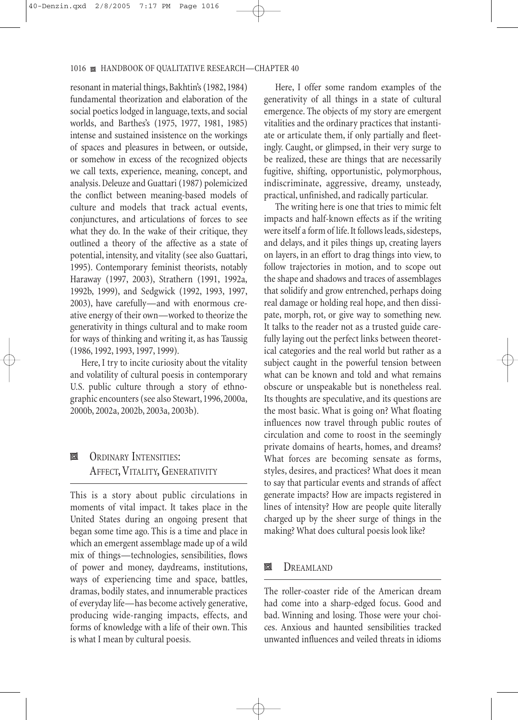resonant in material things, Bakhtin's (1982, 1984) fundamental theorization and elaboration of the social poetics lodged in language, texts, and social worlds, and Barthes's (1975, 1977, 1981, 1985) intense and sustained insistence on the workings of spaces and pleasures in between, or outside, or somehow in excess of the recognized objects we call texts, experience, meaning, concept, and analysis. Deleuze and Guattari (1987) polemicized the conflict between meaning-based models of culture and models that track actual events, conjunctures, and articulations of forces to see what they do. In the wake of their critique, they outlined a theory of the affective as a state of potential, intensity, and vitality (see also Guattari, 1995). Contemporary feminist theorists, notably Haraway (1997, 2003), Strathern (1991, 1992a, 1992b, 1999), and Sedgwick (1992, 1993, 1997, 2003), have carefully—and with enormous creative energy of their own—worked to theorize the generativity in things cultural and to make room for ways of thinking and writing it, as has Taussig (1986, 1992, 1993, 1997, 1999).

Here, I try to incite curiosity about the vitality and volatility of cultural poesis in contemporary U.S. public culture through a story of ethnographic encounters (see also Stewart, 1996, 2000a, 2000b, 2002a, 2002b, 2003a, 2003b).

## **回** ORDINARY INTENSITIES: AFFECT, VITALITY, GENERATIVITY

This is a story about public circulations in moments of vital impact. It takes place in the United States during an ongoing present that began some time ago. This is a time and place in which an emergent assemblage made up of a wild mix of things—technologies, sensibilities, flows of power and money, daydreams, institutions, ways of experiencing time and space, battles, dramas, bodily states, and innumerable practices of everyday life—has become actively generative, producing wide-ranging impacts, effects, and forms of knowledge with a life of their own. This is what I mean by cultural poesis.

Here, I offer some random examples of the generativity of all things in a state of cultural emergence. The objects of my story are emergent vitalities and the ordinary practices that instantiate or articulate them, if only partially and fleetingly. Caught, or glimpsed, in their very surge to be realized, these are things that are necessarily fugitive, shifting, opportunistic, polymorphous, indiscriminate, aggressive, dreamy, unsteady, practical, unfinished, and radically particular.

The writing here is one that tries to mimic felt impacts and half-known effects as if the writing were itself a form of life. It follows leads, sidesteps, and delays, and it piles things up, creating layers on layers, in an effort to drag things into view, to follow trajectories in motion, and to scope out the shape and shadows and traces of assemblages that solidify and grow entrenched, perhaps doing real damage or holding real hope, and then dissipate, morph, rot, or give way to something new. It talks to the reader not as a trusted guide carefully laying out the perfect links between theoretical categories and the real world but rather as a subject caught in the powerful tension between what can be known and told and what remains obscure or unspeakable but is nonetheless real. Its thoughts are speculative, and its questions are the most basic. What is going on? What floating influences now travel through public routes of circulation and come to roost in the seemingly private domains of hearts, homes, and dreams? What forces are becoming sensate as forms, styles, desires, and practices? What does it mean to say that particular events and strands of affect generate impacts? How are impacts registered in lines of intensity? How are people quite literally charged up by the sheer surge of things in the making? What does cultural poesis look like?

### **回** DREAMLAND

The roller-coaster ride of the American dream had come into a sharp-edged focus. Good and bad. Winning and losing. Those were your choices. Anxious and haunted sensibilities tracked unwanted influences and veiled threats in idioms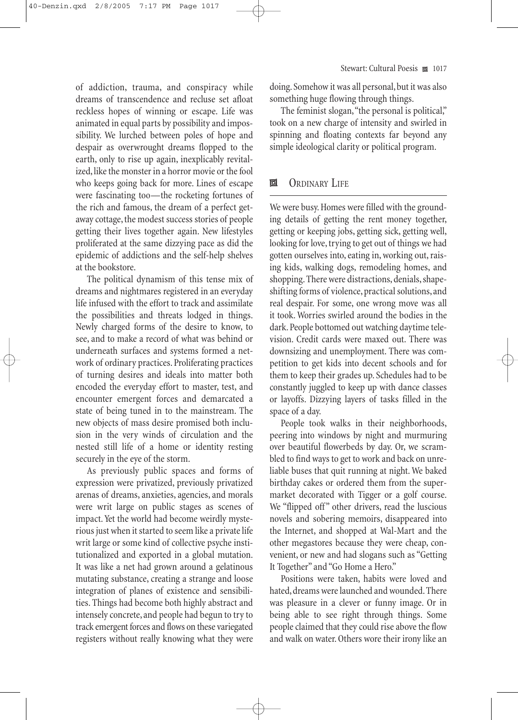of addiction, trauma, and conspiracy while dreams of transcendence and recluse set afloat reckless hopes of winning or escape. Life was animated in equal parts by possibility and impossibility. We lurched between poles of hope and despair as overwrought dreams flopped to the earth, only to rise up again, inexplicably revitalized, like the monster in a horror movie or the fool who keeps going back for more. Lines of escape were fascinating too—the rocketing fortunes of the rich and famous, the dream of a perfect getaway cottage, the modest success stories of people getting their lives together again. New lifestyles proliferated at the same dizzying pace as did the epidemic of addictions and the self-help shelves at the bookstore.

The political dynamism of this tense mix of dreams and nightmares registered in an everyday life infused with the effort to track and assimilate the possibilities and threats lodged in things. Newly charged forms of the desire to know, to see, and to make a record of what was behind or underneath surfaces and systems formed a network of ordinary practices. Proliferating practices of turning desires and ideals into matter both encoded the everyday effort to master, test, and encounter emergent forces and demarcated a state of being tuned in to the mainstream. The new objects of mass desire promised both inclusion in the very winds of circulation and the nested still life of a home or identity resting securely in the eye of the storm.

As previously public spaces and forms of expression were privatized, previously privatized arenas of dreams, anxieties, agencies, and morals were writ large on public stages as scenes of impact. Yet the world had become weirdly mysterious just when it started to seem like a private life writ large or some kind of collective psyche institutionalized and exported in a global mutation. It was like a net had grown around a gelatinous mutating substance, creating a strange and loose integration of planes of existence and sensibilities. Things had become both highly abstract and intensely concrete, and people had begun to try to track emergent forces and flows on these variegated registers without really knowing what they were doing. Somehow it was all personal, but it was also something huge flowing through things.

The feminist slogan, "the personal is political," took on a new charge of intensity and swirled in spinning and floating contexts far beyond any simple ideological clarity or political program.

## **回** ORDINARY LIFE

We were busy. Homes were filled with the grounding details of getting the rent money together, getting or keeping jobs, getting sick, getting well, looking for love, trying to get out of things we had gotten ourselves into, eating in, working out, raising kids, walking dogs, remodeling homes, and shopping. There were distractions, denials, shapeshifting forms of violence, practical solutions, and real despair. For some, one wrong move was all it took. Worries swirled around the bodies in the dark. People bottomed out watching daytime television. Credit cards were maxed out. There was downsizing and unemployment. There was competition to get kids into decent schools and for them to keep their grades up. Schedules had to be constantly juggled to keep up with dance classes or layoffs. Dizzying layers of tasks filled in the space of a day.

People took walks in their neighborhoods, peering into windows by night and murmuring over beautiful flowerbeds by day. Or, we scrambled to find ways to get to work and back on unreliable buses that quit running at night. We baked birthday cakes or ordered them from the supermarket decorated with Tigger or a golf course. We "flipped off" other drivers, read the luscious novels and sobering memoirs, disappeared into the Internet, and shopped at Wal-Mart and the other megastores because they were cheap, convenient, or new and had slogans such as "Getting It Together" and "Go Home a Hero."

Positions were taken, habits were loved and hated, dreams were launched and wounded. There was pleasure in a clever or funny image. Or in being able to see right through things. Some people claimed that they could rise above the flow and walk on water. Others wore their irony like an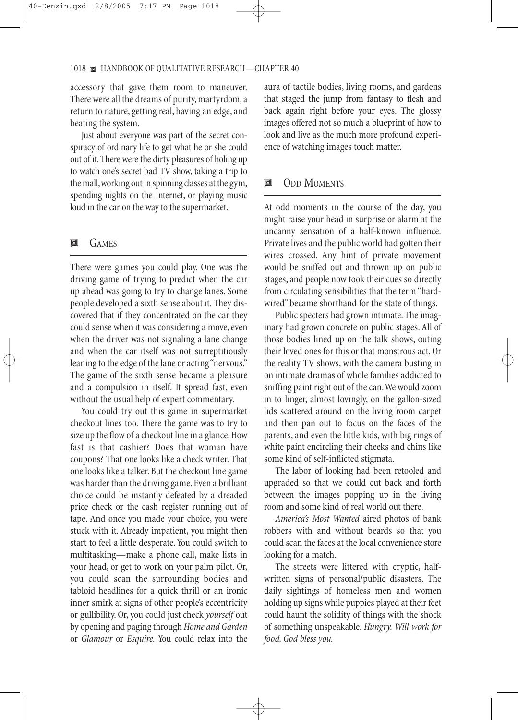accessory that gave them room to maneuver. There were all the dreams of purity, martyrdom, a return to nature, getting real, having an edge, and beating the system.

Just about everyone was part of the secret conspiracy of ordinary life to get what he or she could out of it. There were the dirty pleasures of holing up to watch one's secret bad TV show, taking a trip to the mall,working out in spinning classes at the gym, spending nights on the Internet, or playing music loud in the car on the way to the supermarket.

## 回 GAMES

There were games you could play. One was the driving game of trying to predict when the car up ahead was going to try to change lanes. Some people developed a sixth sense about it. They discovered that if they concentrated on the car they could sense when it was considering a move, even when the driver was not signaling a lane change and when the car itself was not surreptitiously leaning to the edge of the lane or acting "nervous." The game of the sixth sense became a pleasure and a compulsion in itself. It spread fast, even without the usual help of expert commentary.

You could try out this game in supermarket checkout lines too. There the game was to try to size up the flow of a checkout line in a glance. How fast is that cashier? Does that woman have coupons? That one looks like a check writer. That one looks like a talker. But the checkout line game was harder than the driving game. Even a brilliant choice could be instantly defeated by a dreaded price check or the cash register running out of tape. And once you made your choice, you were stuck with it. Already impatient, you might then start to feel a little desperate. You could switch to multitasking—make a phone call, make lists in your head, or get to work on your palm pilot. Or, you could scan the surrounding bodies and tabloid headlines for a quick thrill or an ironic inner smirk at signs of other people's eccentricity or gullibility. Or, you could just check *yourself* out by opening and paging through *Home and Garden* or *Glamour* or *Esquire.* You could relax into the

aura of tactile bodies, living rooms, and gardens that staged the jump from fantasy to flesh and back again right before your eyes. The glossy images offered not so much a blueprint of how to look and live as the much more profound experience of watching images touch matter.

## **回** ODD MOMENTS

At odd moments in the course of the day, you might raise your head in surprise or alarm at the uncanny sensation of a half-known influence. Private lives and the public world had gotten their wires crossed. Any hint of private movement would be sniffed out and thrown up on public stages, and people now took their cues so directly from circulating sensibilities that the term "hardwired" became shorthand for the state of things.

Public specters had grown intimate. The imaginary had grown concrete on public stages. All of those bodies lined up on the talk shows, outing their loved ones for this or that monstrous act. Or the reality TV shows, with the camera busting in on intimate dramas of whole families addicted to sniffing paint right out of the can.We would zoom in to linger, almost lovingly, on the gallon-sized lids scattered around on the living room carpet and then pan out to focus on the faces of the parents, and even the little kids, with big rings of white paint encircling their cheeks and chins like some kind of self-inflicted stigmata.

The labor of looking had been retooled and upgraded so that we could cut back and forth between the images popping up in the living room and some kind of real world out there.

*America's Most Wanted* aired photos of bank robbers with and without beards so that you could scan the faces at the local convenience store looking for a match.

The streets were littered with cryptic, halfwritten signs of personal/public disasters. The daily sightings of homeless men and women holding up signs while puppies played at their feet could haunt the solidity of things with the shock of something unspeakable. *Hungry. Will work for food. God bless you.*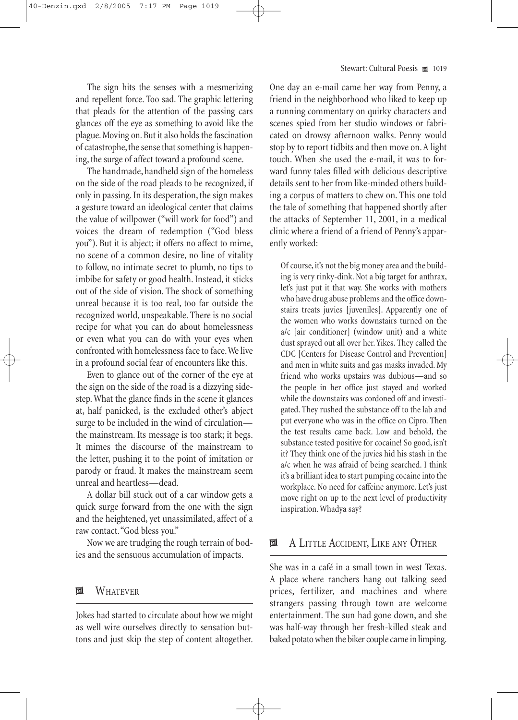The sign hits the senses with a mesmerizing and repellent force. Too sad. The graphic lettering that pleads for the attention of the passing cars glances off the eye as something to avoid like the plague. Moving on. But it also holds the fascination of catastrophe, the sense that something is happening, the surge of affect toward a profound scene.

The handmade, handheld sign of the homeless on the side of the road pleads to be recognized, if only in passing. In its desperation, the sign makes a gesture toward an ideological center that claims the value of willpower ("will work for food") and voices the dream of redemption ("God bless you"). But it is abject; it offers no affect to mime, no scene of a common desire, no line of vitality to follow, no intimate secret to plumb, no tips to imbibe for safety or good health. Instead, it sticks out of the side of vision. The shock of something unreal because it is too real, too far outside the recognized world, unspeakable. There is no social recipe for what you can do about homelessness or even what you can do with your eyes when confronted with homelessness face to face.We live in a profound social fear of encounters like this.

Even to glance out of the corner of the eye at the sign on the side of the road is a dizzying sidestep. What the glance finds in the scene it glances at, half panicked, is the excluded other's abject surge to be included in the wind of circulation the mainstream. Its message is too stark; it begs. It mimes the discourse of the mainstream to the letter, pushing it to the point of imitation or parody or fraud. It makes the mainstream seem unreal and heartless—dead.

A dollar bill stuck out of a car window gets a quick surge forward from the one with the sign and the heightened, yet unassimilated, affect of a raw contact."God bless you."

Now we are trudging the rough terrain of bodies and the sensuous accumulation of impacts.

## **回** WHATEVER

Jokes had started to circulate about how we might as well wire ourselves directly to sensation buttons and just skip the step of content altogether.

#### Stewart: Cultural Poesis **2–1019**

One day an e-mail came her way from Penny, a friend in the neighborhood who liked to keep up a running commentary on quirky characters and scenes spied from her studio windows or fabricated on drowsy afternoon walks. Penny would stop by to report tidbits and then move on.A light touch. When she used the e-mail, it was to forward funny tales filled with delicious descriptive details sent to her from like-minded others building a corpus of matters to chew on. This one told the tale of something that happened shortly after the attacks of September 11, 2001, in a medical clinic where a friend of a friend of Penny's apparently worked:

Of course, it's not the big money area and the building is very rinky-dink. Not a big target for anthrax, let's just put it that way. She works with mothers who have drug abuse problems and the office downstairs treats juvies [juveniles]. Apparently one of the women who works downstairs turned on the a/c [air conditioner] (window unit) and a white dust sprayed out all over her. Yikes. They called the CDC [Centers for Disease Control and Prevention] and men in white suits and gas masks invaded. My friend who works upstairs was dubious—and so the people in her office just stayed and worked while the downstairs was cordoned off and investigated. They rushed the substance off to the lab and put everyone who was in the office on Cipro. Then the test results came back. Low and behold, the substance tested positive for cocaine! So good, isn't it? They think one of the juvies hid his stash in the a/c when he was afraid of being searched. I think it's a brilliant idea to start pumping cocaine into the workplace. No need for caffeine anymore. Let's just move right on up to the next level of productivity inspiration. Whadya say?

## **2** A LITTLE ACCIDENT, LIKE ANY OTHER

She was in a café in a small town in west Texas. A place where ranchers hang out talking seed prices, fertilizer, and machines and where strangers passing through town are welcome entertainment. The sun had gone down, and she was half-way through her fresh-killed steak and baked potato when the biker couple came in limping.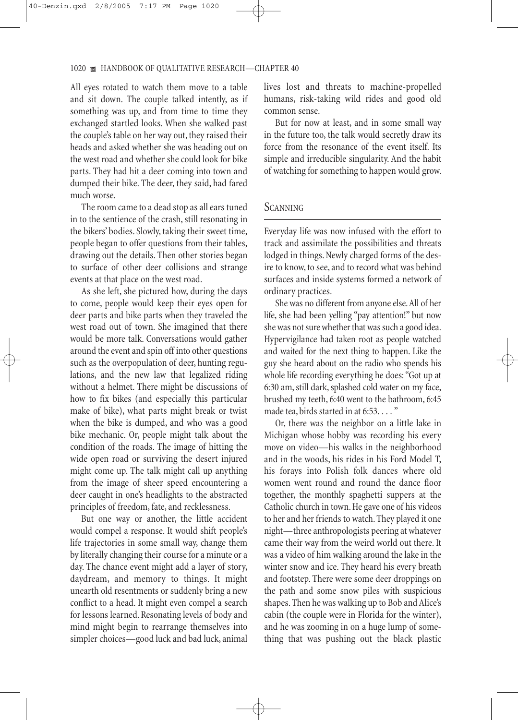All eyes rotated to watch them move to a table and sit down. The couple talked intently, as if something was up, and from time to time they exchanged startled looks. When she walked past the couple's table on her way out, they raised their heads and asked whether she was heading out on the west road and whether she could look for bike parts. They had hit a deer coming into town and dumped their bike. The deer, they said, had fared much worse.

The room came to a dead stop as all ears tuned in to the sentience of the crash, still resonating in the bikers' bodies. Slowly, taking their sweet time, people began to offer questions from their tables, drawing out the details. Then other stories began to surface of other deer collisions and strange events at that place on the west road.

As she left, she pictured how, during the days to come, people would keep their eyes open for deer parts and bike parts when they traveled the west road out of town. She imagined that there would be more talk. Conversations would gather around the event and spin off into other questions such as the overpopulation of deer, hunting regulations, and the new law that legalized riding without a helmet. There might be discussions of how to fix bikes (and especially this particular make of bike), what parts might break or twist when the bike is dumped, and who was a good bike mechanic. Or, people might talk about the condition of the roads. The image of hitting the wide open road or surviving the desert injured might come up. The talk might call up anything from the image of sheer speed encountering a deer caught in one's headlights to the abstracted principles of freedom, fate, and recklessness.

But one way or another, the little accident would compel a response. It would shift people's life trajectories in some small way, change them by literally changing their course for a minute or a day. The chance event might add a layer of story, daydream, and memory to things. It might unearth old resentments or suddenly bring a new conflict to a head. It might even compel a search for lessons learned. Resonating levels of body and mind might begin to rearrange themselves into simpler choices—good luck and bad luck, animal

lives lost and threats to machine-propelled humans, risk-taking wild rides and good old common sense.

But for now at least, and in some small way in the future too, the talk would secretly draw its force from the resonance of the event itself. Its simple and irreducible singularity. And the habit of watching for something to happen would grow.

## **SCANNING**

Everyday life was now infused with the effort to track and assimilate the possibilities and threats lodged in things. Newly charged forms of the desire to know, to see, and to record what was behind surfaces and inside systems formed a network of ordinary practices.

She was no different from anyone else.All of her life, she had been yelling "pay attention!" but now she was not sure whether that was such a good idea. Hypervigilance had taken root as people watched and waited for the next thing to happen. Like the guy she heard about on the radio who spends his whole life recording everything he does: "Got up at 6:30 am, still dark, splashed cold water on my face, brushed my teeth, 6:40 went to the bathroom, 6:45 made tea, birds started in at 6:53...."

Or, there was the neighbor on a little lake in Michigan whose hobby was recording his every move on video—his walks in the neighborhood and in the woods, his rides in his Ford Model T, his forays into Polish folk dances where old women went round and round the dance floor together, the monthly spaghetti suppers at the Catholic church in town. He gave one of his videos to her and her friends to watch. They played it one night—three anthropologists peering at whatever came their way from the weird world out there. It was a video of him walking around the lake in the winter snow and ice. They heard his every breath and footstep. There were some deer droppings on the path and some snow piles with suspicious shapes. Then he was walking up to Bob and Alice's cabin (the couple were in Florida for the winter), and he was zooming in on a huge lump of something that was pushing out the black plastic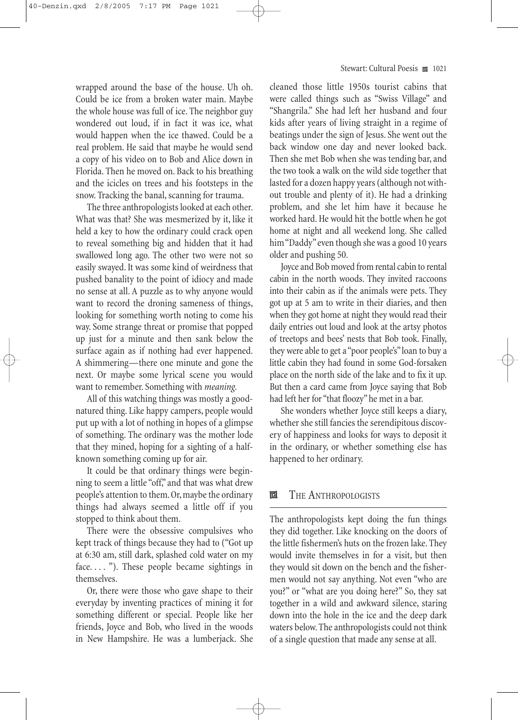wrapped around the base of the house. Uh oh. Could be ice from a broken water main. Maybe the whole house was full of ice. The neighbor guy wondered out loud, if in fact it was ice, what would happen when the ice thawed. Could be a real problem. He said that maybe he would send a copy of his video on to Bob and Alice down in Florida. Then he moved on. Back to his breathing and the icicles on trees and his footsteps in the snow. Tracking the banal, scanning for trauma.

The three anthropologists looked at each other. What was that? She was mesmerized by it, like it held a key to how the ordinary could crack open to reveal something big and hidden that it had swallowed long ago. The other two were not so easily swayed. It was some kind of weirdness that pushed banality to the point of idiocy and made no sense at all. A puzzle as to why anyone would want to record the droning sameness of things, looking for something worth noting to come his way. Some strange threat or promise that popped up just for a minute and then sank below the surface again as if nothing had ever happened. A shimmering—there one minute and gone the next. Or maybe some lyrical scene you would want to remember. Something with *meaning.*

All of this watching things was mostly a goodnatured thing. Like happy campers, people would put up with a lot of nothing in hopes of a glimpse of something. The ordinary was the mother lode that they mined, hoping for a sighting of a halfknown something coming up for air.

It could be that ordinary things were beginning to seem a little "off," and that was what drew people's attention to them. Or, maybe the ordinary things had always seemed a little off if you stopped to think about them.

There were the obsessive compulsives who kept track of things because they had to ("Got up at 6:30 am, still dark, splashed cold water on my face. . . . "). These people became sightings in themselves.

Or, there were those who gave shape to their everyday by inventing practices of mining it for something different or special. People like her friends, Joyce and Bob, who lived in the woods in New Hampshire. He was a lumberjack. She

#### Stewart: Cultural Poesis **2**–1021

cleaned those little 1950s tourist cabins that were called things such as "Swiss Village" and "Shangrila." She had left her husband and four kids after years of living straight in a regime of beatings under the sign of Jesus. She went out the back window one day and never looked back. Then she met Bob when she was tending bar, and the two took a walk on the wild side together that lasted for a dozen happy years (although not without trouble and plenty of it). He had a drinking problem, and she let him have it because he worked hard. He would hit the bottle when he got home at night and all weekend long. She called him "Daddy" even though she was a good 10 years older and pushing 50.

Joyce and Bob moved from rental cabin to rental cabin in the north woods. They invited raccoons into their cabin as if the animals were pets. They got up at 5 am to write in their diaries, and then when they got home at night they would read their daily entries out loud and look at the artsy photos of treetops and bees' nests that Bob took. Finally, they were able to get a "poor people's" loan to buy a little cabin they had found in some God-forsaken place on the north side of the lake and to fix it up. But then a card came from Joyce saying that Bob had left her for "that floozy" he met in a bar.

She wonders whether Joyce still keeps a diary, whether she still fancies the serendipitous discovery of happiness and looks for ways to deposit it in the ordinary, or whether something else has happened to her ordinary.

## **2** THE ANTHROPOLOGISTS

The anthropologists kept doing the fun things they did together. Like knocking on the doors of the little fishermen's huts on the frozen lake. They would invite themselves in for a visit, but then they would sit down on the bench and the fishermen would not say anything. Not even "who are you?" or "what are you doing here?" So, they sat together in a wild and awkward silence, staring down into the hole in the ice and the deep dark waters below. The anthropologists could not think of a single question that made any sense at all.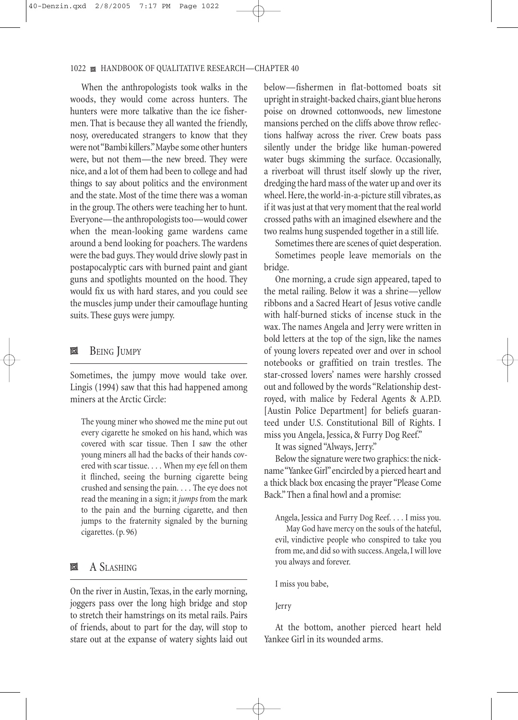When the anthropologists took walks in the woods, they would come across hunters. The hunters were more talkative than the ice fishermen. That is because they all wanted the friendly, nosy, overeducated strangers to know that they were not "Bambi killers."Maybe some other hunters were, but not them—the new breed. They were nice, and a lot of them had been to college and had things to say about politics and the environment and the state. Most of the time there was a woman in the group. The others were teaching her to hunt. Everyone—the anthropologists too—would cower when the mean-looking game wardens came around a bend looking for poachers. The wardens were the bad guys. They would drive slowly past in postapocalyptic cars with burned paint and giant guns and spotlights mounted on the hood. They would fix us with hard stares, and you could see the muscles jump under their camouflage hunting suits. These guys were jumpy.

### 回 BEING JUMPY

Sometimes, the jumpy move would take over. Lingis (1994) saw that this had happened among miners at the Arctic Circle:

The young miner who showed me the mine put out every cigarette he smoked on his hand, which was covered with scar tissue. Then I saw the other young miners all had the backs of their hands covered with scar tissue. . . . When my eye fell on them it flinched, seeing the burning cigarette being crushed and sensing the pain. . . . The eye does not read the meaning in a sign; it *jumps* from the mark to the pain and the burning cigarette, and then jumps to the fraternity signaled by the burning cigarettes. (p. 96)

## 回 A SLASHING

On the river in Austin, Texas, in the early morning, joggers pass over the long high bridge and stop to stretch their hamstrings on its metal rails. Pairs of friends, about to part for the day, will stop to stare out at the expanse of watery sights laid out below—fishermen in flat-bottomed boats sit upright in straight-backed chairs,giant blue herons poise on drowned cottonwoods, new limestone mansions perched on the cliffs above throw reflections halfway across the river. Crew boats pass silently under the bridge like human-powered water bugs skimming the surface. Occasionally, a riverboat will thrust itself slowly up the river, dredging the hard mass of the water up and over its wheel. Here, the world-in-a-picture still vibrates, as if it was just at that very moment that the real world crossed paths with an imagined elsewhere and the two realms hung suspended together in a still life.

Sometimes there are scenes of quiet desperation. Sometimes people leave memorials on the

bridge. One morning, a crude sign appeared, taped to the metal railing. Below it was a shrine—yellow ribbons and a Sacred Heart of Jesus votive candle with half-burned sticks of incense stuck in the wax. The names Angela and Jerry were written in bold letters at the top of the sign, like the names of young lovers repeated over and over in school notebooks or graffitied on train trestles. The star-crossed lovers' names were harshly crossed out and followed by the words "Relationship destroyed, with malice by Federal Agents & A.P.D. [Austin Police Department] for beliefs guaranteed under U.S. Constitutional Bill of Rights. I miss you Angela, Jessica, & Furry Dog Reef."

It was signed "Always, Jerry."

Below the signature were two graphics: the nickname "Yankee Girl"encircled by a pierced heart and a thick black box encasing the prayer "Please Come Back." Then a final howl and a promise:

Angela, Jessica and Furry Dog Reef. . . . I miss you.

May God have mercy on the souls of the hateful, evil, vindictive people who conspired to take you from me, and did so with success.Angela, I will love you always and forever.

I miss you babe,

#### Jerry

At the bottom, another pierced heart held Yankee Girl in its wounded arms.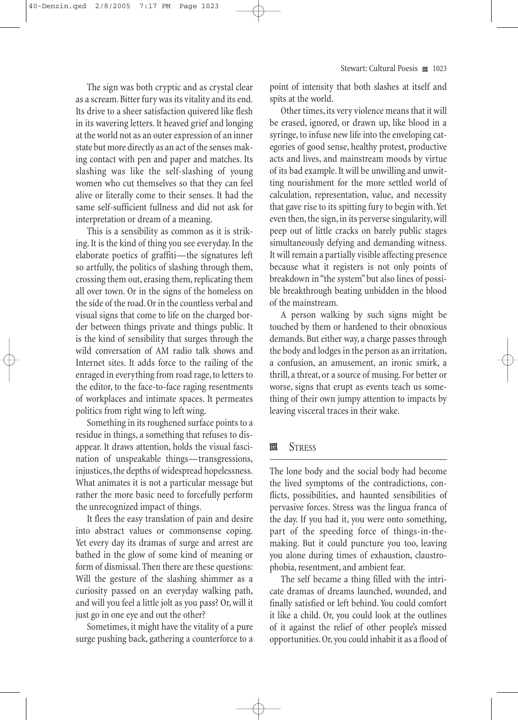The sign was both cryptic and as crystal clear as a scream. Bitter fury was its vitality and its end. Its drive to a sheer satisfaction quivered like flesh in its wavering letters. It heaved grief and longing at the world not as an outer expression of an inner state but more directly as an act of the senses making contact with pen and paper and matches. Its slashing was like the self-slashing of young women who cut themselves so that they can feel alive or literally come to their senses. It had the same self-sufficient fullness and did not ask for interpretation or dream of a meaning.

This is a sensibility as common as it is striking. It is the kind of thing you see everyday. In the elaborate poetics of graffiti—the signatures left so artfully, the politics of slashing through them, crossing them out, erasing them, replicating them all over town. Or in the signs of the homeless on the side of the road. Or in the countless verbal and visual signs that come to life on the charged border between things private and things public. It is the kind of sensibility that surges through the wild conversation of AM radio talk shows and Internet sites. It adds force to the railing of the enraged in everything from road rage, to letters to the editor, to the face-to-face raging resentments of workplaces and intimate spaces. It permeates politics from right wing to left wing.

Something in its roughened surface points to a residue in things, a something that refuses to disappear. It draws attention, holds the visual fascination of unspeakable things—transgressions, injustices, the depths of widespread hopelessness. What animates it is not a particular message but rather the more basic need to forcefully perform the unrecognized impact of things.

It flees the easy translation of pain and desire into abstract values or commonsense coping. Yet every day its dramas of surge and arrest are bathed in the glow of some kind of meaning or form of dismissal. Then there are these questions: Will the gesture of the slashing shimmer as a curiosity passed on an everyday walking path, and will you feel a little jolt as you pass? Or, will it just go in one eye and out the other?

Sometimes, it might have the vitality of a pure surge pushing back, gathering a counterforce to a point of intensity that both slashes at itself and spits at the world.

Other times, its very violence means that it will be erased, ignored, or drawn up, like blood in a syringe, to infuse new life into the enveloping categories of good sense, healthy protest, productive acts and lives, and mainstream moods by virtue of its bad example. It will be unwilling and unwitting nourishment for the more settled world of calculation, representation, value, and necessity that gave rise to its spitting fury to begin with.Yet even then, the sign, in its perverse singularity, will peep out of little cracks on barely public stages simultaneously defying and demanding witness. It will remain a partially visible affecting presence because what it registers is not only points of breakdown in "the system" but also lines of possible breakthrough beating unbidden in the blood of the mainstream.

A person walking by such signs might be touched by them or hardened to their obnoxious demands. But either way, a charge passes through the body and lodges in the person as an irritation, a confusion, an amusement, an ironic smirk, a thrill, a threat, or a source of musing. For better or worse, signs that erupt as events teach us something of their own jumpy attention to impacts by leaving visceral traces in their wake.

## **回** STRESS

The lone body and the social body had become the lived symptoms of the contradictions, conflicts, possibilities, and haunted sensibilities of pervasive forces. Stress was the lingua franca of the day. If you had it, you were onto something, part of the speeding force of things-in-themaking. But it could puncture you too, leaving you alone during times of exhaustion, claustrophobia, resentment, and ambient fear.

The self became a thing filled with the intricate dramas of dreams launched, wounded, and finally satisfied or left behind. You could comfort it like a child. Or, you could look at the outlines of it against the relief of other people's missed opportunities. Or, you could inhabit it as a flood of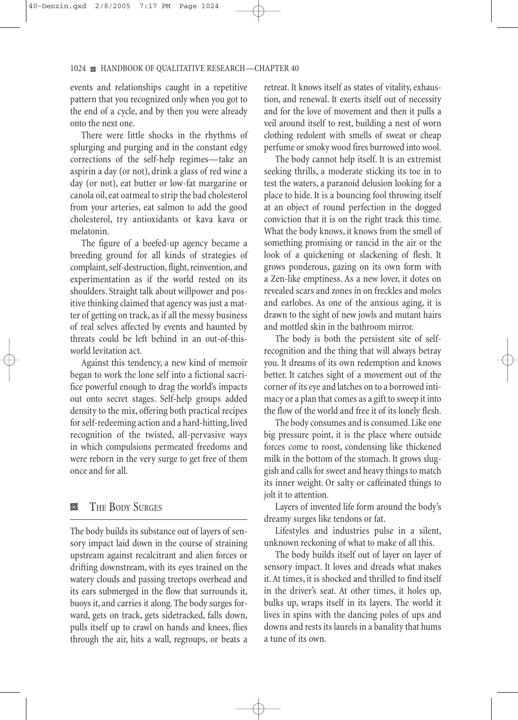events and relationships caught in a repetitive pattern that you recognized only when you got to the end of a cycle, and by then you were already onto the next one.

There were little shocks in the rhythms of splurging and purging and in the constant edgy corrections of the self-help regimes—take an aspirin a day (or not), drink a glass of red wine a day (or not), eat butter or low-fat margarine or canola oil, eat oatmeal to strip the bad cholesterol from your arteries, eat salmon to add the good cholesterol, try antioxidants or kava kava or melatonin.

The figure of a beefed-up agency became a breeding ground for all kinds of strategies of complaint, self-destruction, flight, reinvention, and experimentation as if the world rested on its shoulders. Straight talk about willpower and positive thinking claimed that agency was just a matter of getting on track, as if all the messy business of real selves affected by events and haunted by threats could be left behind in an out-of-thisworld levitation act.

Against this tendency, a new kind of memoir began to work the lone self into a fictional sacrifice powerful enough to drag the world's impacts out onto secret stages. Self-help groups added density to the mix, offering both practical recipes for self-redeeming action and a hard-hitting, lived recognition of the twisted, all-pervasive ways in which compulsions permeated freedoms and were reborn in the very surge to get free of them once and for all.

## **回** THE BODY SURGES

The body builds its substance out of layers of sensory impact laid down in the course of straining upstream against recalcitrant and alien forces or drifting downstream, with its eyes trained on the watery clouds and passing treetops overhead and its ears submerged in the flow that surrounds it, buoys it, and carries it along. The body surges forward, gets on track, gets sidetracked, falls down, pulls itself up to crawl on hands and knees, flies through the air, hits a wall, regroups, or beats a retreat. It knows itself as states of vitality, exhaustion, and renewal. It exerts itself out of necessity and for the love of movement and then it pulls a veil around itself to rest, building a nest of worn clothing redolent with smells of sweat or cheap perfume or smoky wood fires burrowed into wool.

The body cannot help itself. It is an extremist seeking thrills, a moderate sticking its toe in to test the waters, a paranoid delusion looking for a place to hide. It is a bouncing fool throwing itself at an object of round perfection in the dogged conviction that it is on the right track this time. What the body knows, it knows from the smell of something promising or rancid in the air or the look of a quickening or slackening of flesh. It grows ponderous, gazing on its own form with a Zen-like emptiness. As a new lover, it dotes on revealed scars and zones in on freckles and moles and earlobes. As one of the anxious aging, it is drawn to the sight of new jowls and mutant hairs and mottled skin in the bathroom mirror.

The body is both the persistent site of selfrecognition and the thing that will always betray you. It dreams of its own redemption and knows better. It catches sight of a movement out of the corner of its eye and latches on to a borrowed intimacy or a plan that comes as a gift to sweep it into the flow of the world and free it of its lonely flesh.

The body consumes and is consumed. Like one big pressure point, it is the place where outside forces come to roost, condensing like thickened milk in the bottom of the stomach. It grows sluggish and calls for sweet and heavy things to match its inner weight. Or salty or caffeinated things to jolt it to attention.

Layers of invented life form around the body's dreamy surges like tendons or fat.

Lifestyles and industries pulse in a silent, unknown reckoning of what to make of all this.

The body builds itself out of layer on layer of sensory impact. It loves and dreads what makes it. At times, it is shocked and thrilled to find itself in the driver's seat. At other times, it holes up, bulks up, wraps itself in its layers. The world it lives in spins with the dancing poles of ups and downs and rests its laurels in a banality that hums a tune of its own.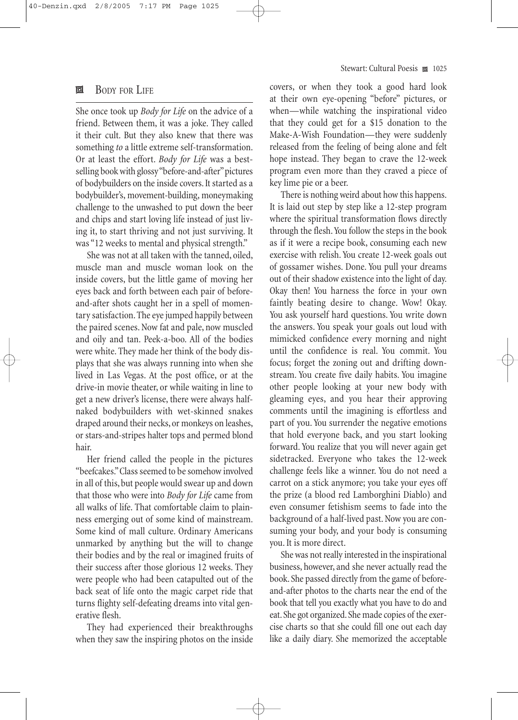#### 40-Denzin.qxd 2/8/2005 7:17 PM Page 1025

## **2** BODY FOR LIFE

She once took up *Body for Life* on the advice of a friend. Between them, it was a joke. They called it their cult. But they also knew that there was something *to* a little extreme self-transformation. Or at least the effort. *Body for Life* was a bestselling book with glossy "before-and-after" pictures of bodybuilders on the inside covers. It started as a bodybuilder's, movement-building, moneymaking challenge to the unwashed to put down the beer and chips and start loving life instead of just living it, to start thriving and not just surviving. It was "12 weeks to mental and physical strength."

She was not at all taken with the tanned, oiled, muscle man and muscle woman look on the inside covers, but the little game of moving her eyes back and forth between each pair of beforeand-after shots caught her in a spell of momentary satisfaction. The eye jumped happily between the paired scenes. Now fat and pale, now muscled and oily and tan. Peek-a-boo. All of the bodies were white. They made her think of the body displays that she was always running into when she lived in Las Vegas. At the post office, or at the drive-in movie theater, or while waiting in line to get a new driver's license, there were always halfnaked bodybuilders with wet-skinned snakes draped around their necks, or monkeys on leashes, or stars-and-stripes halter tops and permed blond hair.

Her friend called the people in the pictures "beefcakes."Class seemed to be somehow involved in all of this, but people would swear up and down that those who were into *Body for Life* came from all walks of life. That comfortable claim to plainness emerging out of some kind of mainstream. Some kind of mall culture. Ordinary Americans unmarked by anything but the will to change their bodies and by the real or imagined fruits of their success after those glorious 12 weeks. They were people who had been catapulted out of the back seat of life onto the magic carpet ride that turns flighty self-defeating dreams into vital generative flesh.

They had experienced their breakthroughs when they saw the inspiring photos on the inside

#### Stewart: Cultural Poesis **2–1025**

covers, or when they took a good hard look at their own eye-opening "before" pictures, or when—while watching the inspirational video that they could get for a \$15 donation to the Make-A-Wish Foundation—they were suddenly released from the feeling of being alone and felt hope instead. They began to crave the 12-week program even more than they craved a piece of key lime pie or a beer.

There is nothing weird about how this happens. It is laid out step by step like a 12-step program where the spiritual transformation flows directly through the flesh.You follow the steps in the book as if it were a recipe book, consuming each new exercise with relish. You create 12-week goals out of gossamer wishes. Done. You pull your dreams out of their shadow existence into the light of day. Okay then! You harness the force in your own faintly beating desire to change. Wow! Okay. You ask yourself hard questions. You write down the answers. You speak your goals out loud with mimicked confidence every morning and night until the confidence is real. You commit. You focus; forget the zoning out and drifting downstream. You create five daily habits. You imagine other people looking at your new body with gleaming eyes, and you hear their approving comments until the imagining is effortless and part of you. You surrender the negative emotions that hold everyone back, and you start looking forward. You realize that you will never again get sidetracked. Everyone who takes the 12-week challenge feels like a winner. You do not need a carrot on a stick anymore; you take your eyes off the prize (a blood red Lamborghini Diablo) and even consumer fetishism seems to fade into the background of a half-lived past. Now you are consuming your body, and your body is consuming you. It is more direct.

She was not really interested in the inspirational business, however, and she never actually read the book. She passed directly from the game of beforeand-after photos to the charts near the end of the book that tell you exactly what you have to do and eat. She got organized. She made copies of the exercise charts so that she could fill one out each day like a daily diary. She memorized the acceptable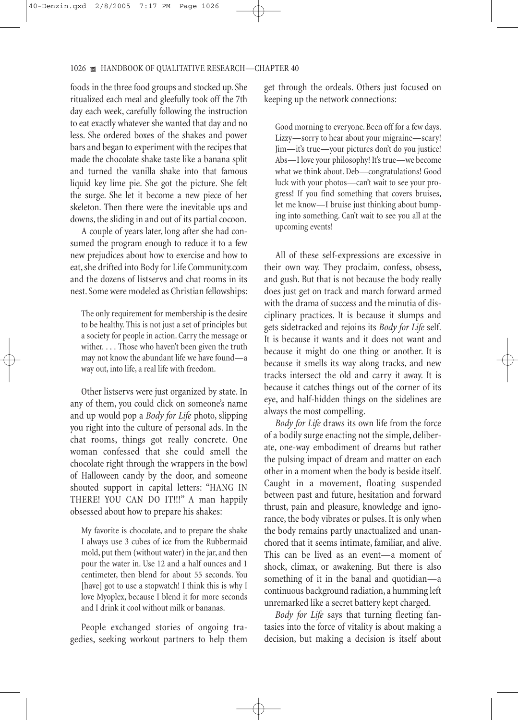foods in the three food groups and stocked up. She ritualized each meal and gleefully took off the 7th day each week, carefully following the instruction to eat exactly whatever she wanted that day and no less. She ordered boxes of the shakes and power bars and began to experiment with the recipes that made the chocolate shake taste like a banana split and turned the vanilla shake into that famous liquid key lime pie. She got the picture. She felt the surge. She let it become a new piece of her skeleton. Then there were the inevitable ups and downs, the sliding in and out of its partial cocoon.

A couple of years later, long after she had consumed the program enough to reduce it to a few new prejudices about how to exercise and how to eat, she drifted into Body for Life Community.com and the dozens of listservs and chat rooms in its nest. Some were modeled as Christian fellowships:

The only requirement for membership is the desire to be healthy. This is not just a set of principles but a society for people in action. Carry the message or wither. . . . Those who haven't been given the truth may not know the abundant life we have found—a way out, into life, a real life with freedom.

Other listservs were just organized by state. In any of them, you could click on someone's name and up would pop a *Body for Life* photo, slipping you right into the culture of personal ads. In the chat rooms, things got really concrete. One woman confessed that she could smell the chocolate right through the wrappers in the bowl of Halloween candy by the door, and someone shouted support in capital letters: "HANG IN THERE! YOU CAN DO IT!!!" A man happily obsessed about how to prepare his shakes:

My favorite is chocolate, and to prepare the shake I always use 3 cubes of ice from the Rubbermaid mold, put them (without water) in the jar, and then pour the water in. Use 12 and a half ounces and 1 centimeter, then blend for about 55 seconds. You [have] got to use a stopwatch! I think this is why I love Myoplex, because I blend it for more seconds and I drink it cool without milk or bananas.

People exchanged stories of ongoing tragedies, seeking workout partners to help them get through the ordeals. Others just focused on keeping up the network connections:

Good morning to everyone. Been off for a few days. Lizzy—sorry to hear about your migraine—scary! Jim—it's true—your pictures don't do you justice! Abs—I love your philosophy! It's true—we become what we think about. Deb—congratulations! Good luck with your photos—can't wait to see your progress! If you find something that covers bruises, let me know—I bruise just thinking about bumping into something. Can't wait to see you all at the upcoming events!

All of these self-expressions are excessive in their own way. They proclaim, confess, obsess, and gush. But that is not because the body really does just get on track and march forward armed with the drama of success and the minutia of disciplinary practices. It is because it slumps and gets sidetracked and rejoins its *Body for Life* self. It is because it wants and it does not want and because it might do one thing or another. It is because it smells its way along tracks, and new tracks intersect the old and carry it away. It is because it catches things out of the corner of its eye, and half-hidden things on the sidelines are always the most compelling.

*Body for Life* draws its own life from the force of a bodily surge enacting not the simple, deliberate, one-way embodiment of dreams but rather the pulsing impact of dream and matter on each other in a moment when the body is beside itself. Caught in a movement, floating suspended between past and future, hesitation and forward thrust, pain and pleasure, knowledge and ignorance, the body vibrates or pulses. It is only when the body remains partly unactualized and unanchored that it seems intimate, familiar, and alive. This can be lived as an event—a moment of shock, climax, or awakening. But there is also something of it in the banal and quotidian—a continuous background radiation, a humming left unremarked like a secret battery kept charged.

*Body for Life* says that turning fleeting fantasies into the force of vitality is about making a decision, but making a decision is itself about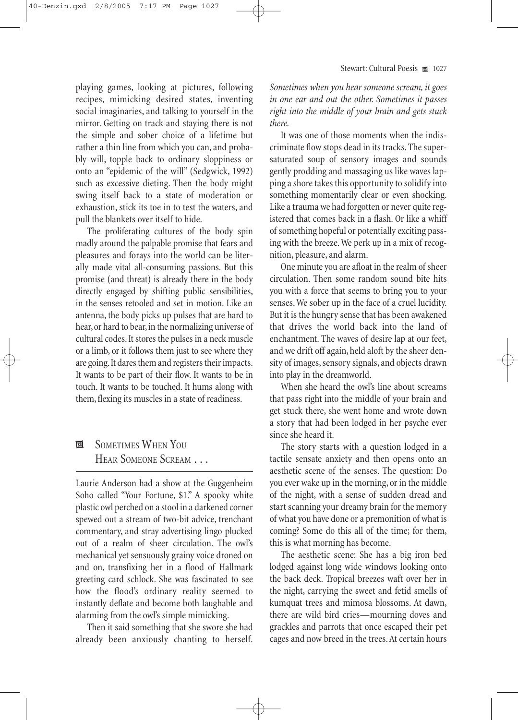playing games, looking at pictures, following recipes, mimicking desired states, inventing social imaginaries, and talking to yourself in the mirror. Getting on track and staying there is not the simple and sober choice of a lifetime but rather a thin line from which you can, and probably will, topple back to ordinary sloppiness or onto an "epidemic of the will" (Sedgwick, 1992) such as excessive dieting. Then the body might swing itself back to a state of moderation or exhaustion, stick its toe in to test the waters, and pull the blankets over itself to hide.

The proliferating cultures of the body spin madly around the palpable promise that fears and pleasures and forays into the world can be literally made vital all-consuming passions. But this promise (and threat) is already there in the body directly engaged by shifting public sensibilities, in the senses retooled and set in motion. Like an antenna, the body picks up pulses that are hard to hear, or hard to bear, in the normalizing universe of cultural codes. It stores the pulses in a neck muscle or a limb, or it follows them just to see where they are going.It dares them and registers their impacts. It wants to be part of their flow. It wants to be in touch. It wants to be touched. It hums along with them, flexing its muscles in a state of readiness.

## **E** SOMETIMES WHEN YOU HEAR SOMEONE SCREAM ...

Laurie Anderson had a show at the Guggenheim Soho called "Your Fortune, \$1." A spooky white plastic owl perched on a stool in a darkened corner spewed out a stream of two-bit advice, trenchant commentary, and stray advertising lingo plucked out of a realm of sheer circulation. The owl's mechanical yet sensuously grainy voice droned on and on, transfixing her in a flood of Hallmark greeting card schlock. She was fascinated to see how the flood's ordinary reality seemed to instantly deflate and become both laughable and alarming from the owl's simple mimicking.

Then it said something that she swore she had already been anxiously chanting to herself. *Sometimes when you hear someone scream, it goes in one ear and out the other. Sometimes it passes right into the middle of your brain and gets stuck there.*

It was one of those moments when the indiscriminate flow stops dead in its tracks. The supersaturated soup of sensory images and sounds gently prodding and massaging us like waves lapping a shore takes this opportunity to solidify into something momentarily clear or even shocking. Like a trauma we had forgotten or never quite registered that comes back in a flash. Or like a whiff of something hopeful or potentially exciting passing with the breeze. We perk up in a mix of recognition, pleasure, and alarm.

One minute you are afloat in the realm of sheer circulation. Then some random sound bite hits you with a force that seems to bring you to your senses. We sober up in the face of a cruel lucidity. But it is the hungry sense that has been awakened that drives the world back into the land of enchantment. The waves of desire lap at our feet, and we drift off again, held aloft by the sheer density of images, sensory signals, and objects drawn into play in the dreamworld.

When she heard the owl's line about screams that pass right into the middle of your brain and get stuck there, she went home and wrote down a story that had been lodged in her psyche ever since she heard it.

The story starts with a question lodged in a tactile sensate anxiety and then opens onto an aesthetic scene of the senses. The question: Do you ever wake up in the morning, or in the middle of the night, with a sense of sudden dread and start scanning your dreamy brain for the memory of what you have done or a premonition of what is coming? Some do this all of the time; for them, this is what morning has become.

The aesthetic scene: She has a big iron bed lodged against long wide windows looking onto the back deck. Tropical breezes waft over her in the night, carrying the sweet and fetid smells of kumquat trees and mimosa blossoms. At dawn, there are wild bird cries—mourning doves and grackles and parrots that once escaped their pet cages and now breed in the trees. At certain hours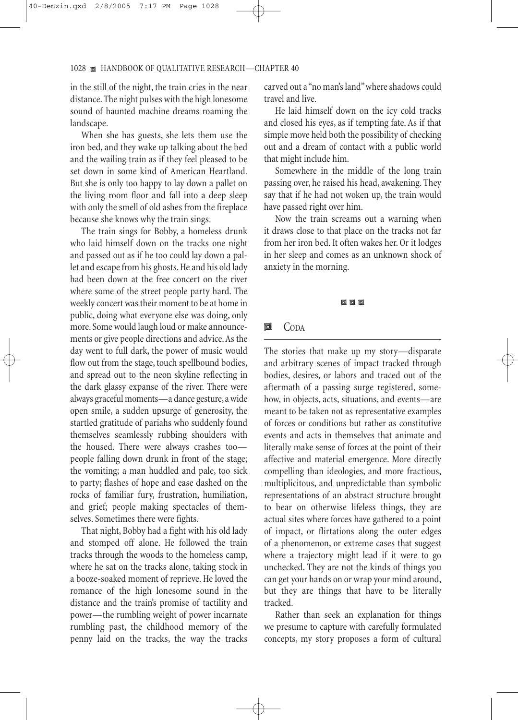in the still of the night, the train cries in the near distance. The night pulses with the high lonesome sound of haunted machine dreams roaming the landscape.

When she has guests, she lets them use the iron bed, and they wake up talking about the bed and the wailing train as if they feel pleased to be set down in some kind of American Heartland. But she is only too happy to lay down a pallet on the living room floor and fall into a deep sleep with only the smell of old ashes from the fireplace because she knows why the train sings.

The train sings for Bobby, a homeless drunk who laid himself down on the tracks one night and passed out as if he too could lay down a pallet and escape from his ghosts. He and his old lady had been down at the free concert on the river where some of the street people party hard. The weekly concert was their moment to be at home in public, doing what everyone else was doing, only more. Some would laugh loud or make announcements or give people directions and advice.As the day went to full dark, the power of music would flow out from the stage, touch spellbound bodies, and spread out to the neon skyline reflecting in the dark glassy expanse of the river. There were always graceful moments—a dance gesture,a wide open smile, a sudden upsurge of generosity, the startled gratitude of pariahs who suddenly found themselves seamlessly rubbing shoulders with the housed. There were always crashes too people falling down drunk in front of the stage; the vomiting; a man huddled and pale, too sick to party; flashes of hope and ease dashed on the rocks of familiar fury, frustration, humiliation, and grief; people making spectacles of themselves. Sometimes there were fights.

That night, Bobby had a fight with his old lady and stomped off alone. He followed the train tracks through the woods to the homeless camp, where he sat on the tracks alone, taking stock in a booze-soaked moment of reprieve. He loved the romance of the high lonesome sound in the distance and the train's promise of tactility and power—the rumbling weight of power incarnate rumbling past, the childhood memory of the penny laid on the tracks, the way the tracks carved out a "no man's land"where shadows could travel and live.

He laid himself down on the icy cold tracks and closed his eyes, as if tempting fate. As if that simple move held both the possibility of checking out and a dream of contact with a public world that might include him.

Somewhere in the middle of the long train passing over, he raised his head, awakening. They say that if he had not woken up, the train would have passed right over him.

Now the train screams out a warning when it draws close to that place on the tracks not far from her iron bed. It often wakes her. Or it lodges in her sleep and comes as an unknown shock of anxiety in the morning.

#### 回回回

## 回 CODA

The stories that make up my story—disparate and arbitrary scenes of impact tracked through bodies, desires, or labors and traced out of the aftermath of a passing surge registered, somehow, in objects, acts, situations, and events—are meant to be taken not as representative examples of forces or conditions but rather as constitutive events and acts in themselves that animate and literally make sense of forces at the point of their affective and material emergence. More directly compelling than ideologies, and more fractious, multiplicitous, and unpredictable than symbolic representations of an abstract structure brought to bear on otherwise lifeless things, they are actual sites where forces have gathered to a point of impact, or flirtations along the outer edges of a phenomenon, or extreme cases that suggest where a trajectory might lead if it were to go unchecked. They are not the kinds of things you can get your hands on or wrap your mind around, but they are things that have to be literally tracked.

Rather than seek an explanation for things we presume to capture with carefully formulated concepts, my story proposes a form of cultural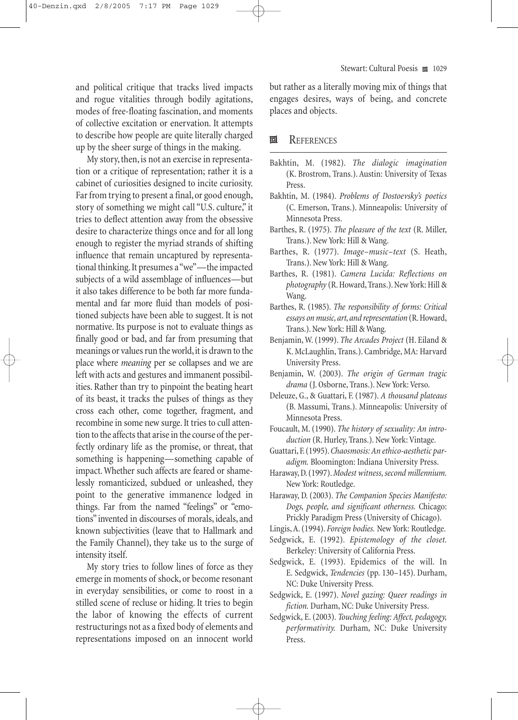and political critique that tracks lived impacts and rogue vitalities through bodily agitations, modes of free-floating fascination, and moments of collective excitation or enervation. It attempts to describe how people are quite literally charged up by the sheer surge of things in the making.

My story, then, is not an exercise in representation or a critique of representation; rather it is a cabinet of curiosities designed to incite curiosity. Far from trying to present a final, or good enough, story of something we might call "U.S. culture," it tries to deflect attention away from the obsessive desire to characterize things once and for all long enough to register the myriad strands of shifting influence that remain uncaptured by representational thinking. It presumes a "we"—the impacted subjects of a wild assemblage of influences—but it also takes difference to be both far more fundamental and far more fluid than models of positioned subjects have been able to suggest. It is not normative. Its purpose is not to evaluate things as finally good or bad, and far from presuming that meanings or values run the world, it is drawn to the place where *meaning* per se collapses and we are left with acts and gestures and immanent possibilities. Rather than try to pinpoint the beating heart of its beast, it tracks the pulses of things as they cross each other, come together, fragment, and recombine in some new surge. It tries to cull attention to the affects that arise in the course of the perfectly ordinary life as the promise, or threat, that something is happening—something capable of impact. Whether such affects are feared or shamelessly romanticized, subdued or unleashed, they point to the generative immanence lodged in things. Far from the named "feelings" or "emotions" invented in discourses of morals, ideals, and known subjectivities (leave that to Hallmark and the Family Channel), they take us to the surge of intensity itself.

My story tries to follow lines of force as they emerge in moments of shock, or become resonant in everyday sensibilities, or come to roost in a stilled scene of recluse or hiding. It tries to begin the labor of knowing the effects of current restructurings not as a fixed body of elements and representations imposed on an innocent world

but rather as a literally moving mix of things that engages desires, ways of being, and concrete places and objects.

## **回** REFERENCES

- Bakhtin, M. (1982). *The dialogic imagination* (K. Brostrom, Trans.). Austin: University of Texas Press.
- Bakhtin, M. (1984). *Problems of Dostoevsky's poetics* (C. Emerson, Trans.). Minneapolis: University of Minnesota Press.
- Barthes, R. (1975). *The pleasure of the text* (R. Miller, Trans.). New York: Hill & Wang.
- Barthes, R. (1977). *Image–music–text* (S. Heath, Trans.). New York: Hill & Wang.
- Barthes, R. (1981). *Camera Lucida: Reflections on photography* (R. Howard, Trans.). New York: Hill & Wang.
- Barthes, R. (1985). *The responsibility of forms: Critical essays on music, art, and representation* (R.Howard, Trans.). New York: Hill & Wang.
- Benjamin, W. (1999). *The Arcades Project* (H. Eiland & K. McLaughlin, Trans.). Cambridge, MA: Harvard University Press.
- Benjamin, W. (2003). *The origin of German tragic drama* (J. Osborne, Trans.). New York: Verso.
- Deleuze, G., & Guattari, F. (1987). *A thousand plateaus* (B. Massumi, Trans.). Minneapolis: University of Minnesota Press.
- Foucault, M. (1990). *The history of sexuality: An introduction* (R. Hurley, Trans.). New York: Vintage.
- Guattari, F. (1995).*Chaosmosis: An ethico-aesthetic paradigm.* Bloomington: Indiana University Press.
- Haraway, D. (1997).*Modest witness, second millennium.* New York: Routledge.
- Haraway, D. (2003). *The Companion Species Manifesto: Dogs, people, and significant otherness.* Chicago: Prickly Paradigm Press (University of Chicago).

- Sedgwick, E. (1992). *Epistemology of the closet.* Berkeley: University of California Press.
- Sedgwick, E. (1993). Epidemics of the will. In E. Sedgwick, *Tendencies* (pp. 130–145). Durham, NC: Duke University Press.
- Sedgwick, E. (1997). *Novel gazing: Queer readings in fiction.* Durham, NC: Duke University Press.
- Sedgwick, E. (2003). *Touching feeling: Affect, pedagogy, performativity.* Durham, NC: Duke University Press.

Lingis, A. (1994). *Foreign bodies.* New York: Routledge.